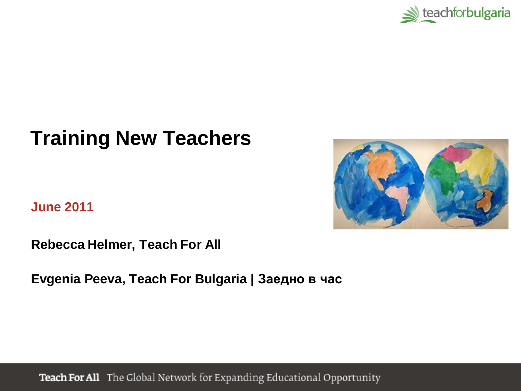

# **Training New Teachers**

**June 2011**



**Rebecca Helmer, Teach For All**

**Evgenia Peeva, Teach For Bulgaria | Заедно в час**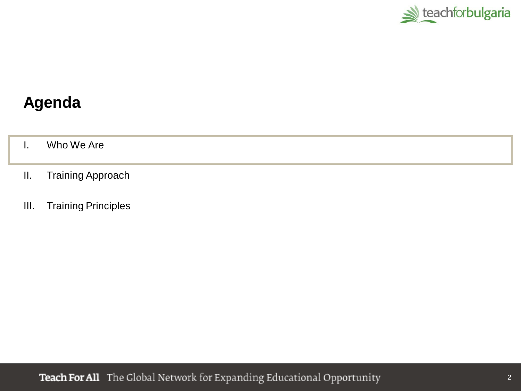

### **Agenda**

I. Who We Are

- II. Training Approach
- III. Training Principles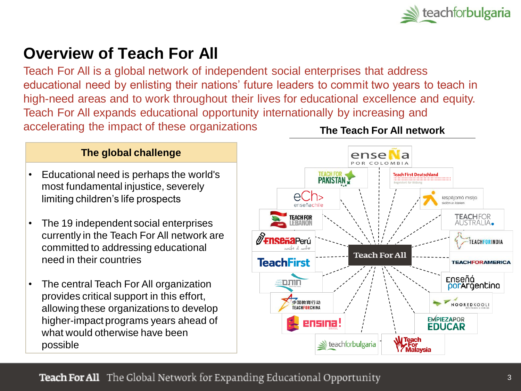

### **Overview of Teach For All**

Teach For All is a global network of independent social enterprises that address educational need by enlisting their nations' future leaders to commit two years to teach in high-need areas and to work throughout their lives for educational excellence and equity. Teach For All expands educational opportunity internationally by increasing and accelerating the impact of these organizations **The Teach For All network**

#### **The global challenge**

- Educational need is perhaps the world's most fundamental injustice, severely limiting children's life prospects
- The 19 independent social enterprises currently in the Teach For All network are committed to addressing educational need in their countries
- The central Teach For All organization provides critical support in this effort, allowing these organizations to develop higher-impact programs years ahead of what would otherwise have been possible

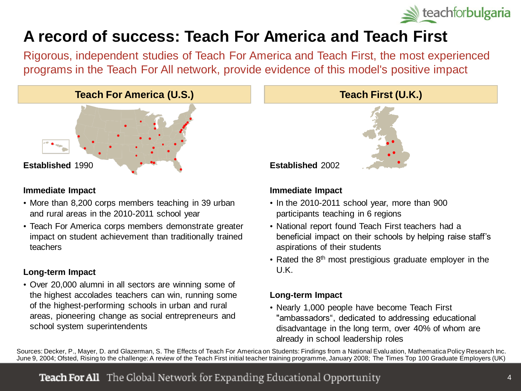

## **A record of success: Teach For America and Teach First**

Rigorous, independent studies of Teach For America and Teach First, the most experienced programs in the Teach For All network, provide evidence of this model's positive impact

#### **Teach For America (U.S.) Teach First (U.K.)**



#### **Immediate Impact**

- More than 8,200 corps members teaching in 39 urban and rural areas in the 2010-2011 school year
- Teach For America corps members demonstrate greater impact on student achievement than traditionally trained teachers

#### **Long-term Impact**

• Over 20,000 alumni in all sectors are winning some of the highest accolades teachers can win, running some of the highest-performing schools in urban and rural areas, pioneering change as social entrepreneurs and school system superintendents

**Established** 2002

#### **Immediate Impact**

- In the 2010-2011 school year, more than 900 participants teaching in 6 regions
- National report found Teach First teachers had a beneficial impact on their schools by helping raise staff's aspirations of their students
- Rated the 8<sup>th</sup> most prestigious graduate employer in the U.K.

#### **Long-term Impact**

• Nearly 1,000 people have become Teach First "ambassadors", dedicated to addressing educational disadvantage in the long term, over 40% of whom are already in school leadership roles

Sources: Decker, P., Mayer, D. and Glazerman, S. The Effects of Teach For America on Students: Findings from a National Evaluation, Mathematica Policy Research Inc. June 9, 2004; Ofsted, Rising to the challenge: A review of the Teach First initial teacher training programme, January 2008; The Times Top 100 Graduate Employers (UK)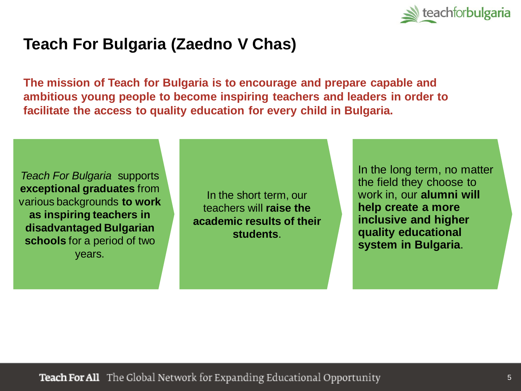

### **Teach For Bulgaria (Zaedno V Chas)**

**The mission of Teach for Bulgaria is to encourage and prepare capable and ambitious young people to become inspiring teachers and leaders in order to facilitate the access to quality education for every child in Bulgaria.** 

*Teach For Bulgaria* supports **exceptional graduates** from various backgrounds **to work as inspiring teachers in disadvantaged Bulgarian schools** for a period of two years.

In the short term, our teachers will **raise the academic results of their students**.

In the long term, no matter the field they choose to work in, our **alumni will help create a more inclusive and higher quality educational system in Bulgaria**.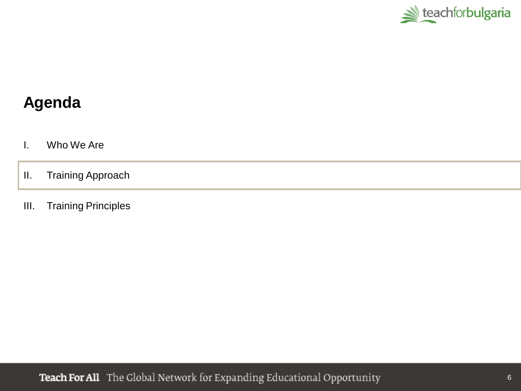

### **Agenda**

- I. Who We Are
- II. Training Approach
- III. Training Principles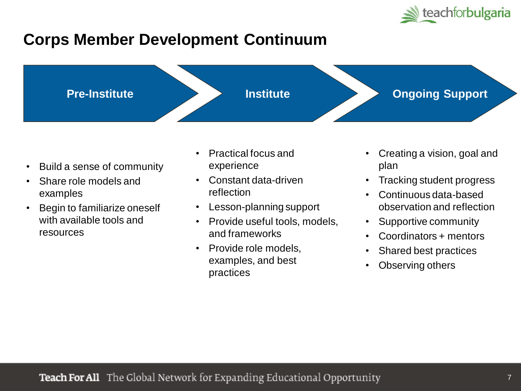

## **Corps Member Development Continuum**



- Build a sense of community
- Share role models and examples
- Begin to familiarize oneself with available tools and resources
- Practical focus and experience
- Constant data-driven reflection
- Lesson-planning support
- Provide useful tools, models, and frameworks
- Provide role models, examples, and best practices
- Creating a vision, goal and plan
- Tracking student progress
- Continuous data-based observation and reflection
- Supportive community
- Coordinators + mentors
- Shared best practices
- Observing others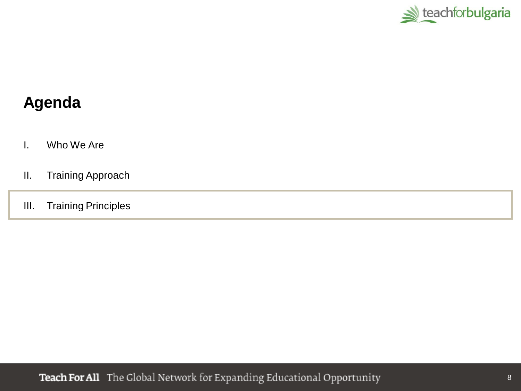

### **Agenda**

- I. Who We Are
- II. Training Approach
- III. Training Principles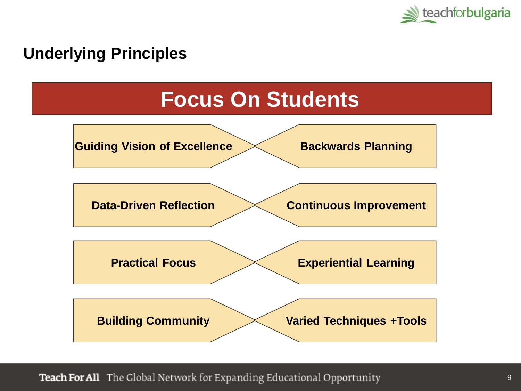

### **Underlying Principles**

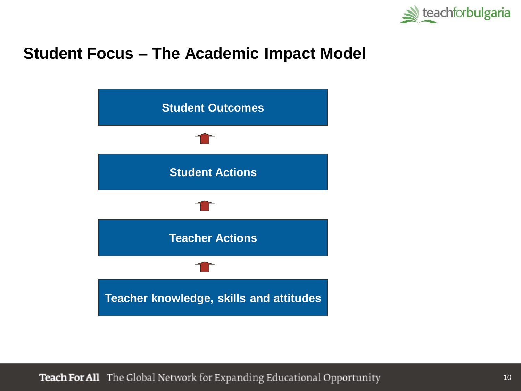

### **Student Focus – The Academic Impact Model**

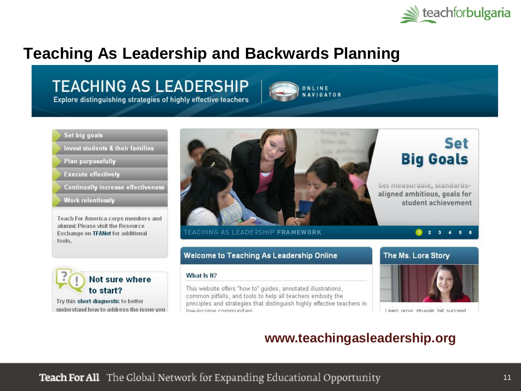

### **Teaching As Leadership and Backwards Planning**

### **TEACHING AS LEADERSHIP**

Explore distinguishing strategies of highly effective teachers

#### Set big goals

Invest students & their families

- **Plan purposefully**
- **Execute effectively**
- **Continually increase effectiveness**

**Work relentlessly** 

Teach For America corps members and alumni: Please visit the Resource Exchange on TFANet for additional tools.



Try this short diagnostic to better understand how to address the issue you



ONLINE **AVIGATOR** 

#### Welcome to Teaching As Leadership Online

#### What Is It?

This website offers "how to" guides, annotated illustrations, common pitfalls, and tools to help all teachers embody the principles and strategies that distinguish highly effective teachers in low-income communities.





Learn grow struggle fail succeed

#### **www.teachingasleadership.org**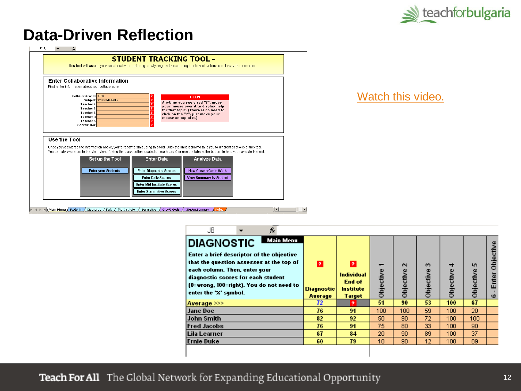

### **Data-Driven Reflection**



#### [Watch this video.](http://www.teachingasleadership.org/execute-effectively/evaluate-and-keep-track-students-performance-e-6)

| J8<br>Tx                                                                                                                                                                                                                                                                     |                            |                                                               |                                       |                     |                     |                |                |                               |
|------------------------------------------------------------------------------------------------------------------------------------------------------------------------------------------------------------------------------------------------------------------------------|----------------------------|---------------------------------------------------------------|---------------------------------------|---------------------|---------------------|----------------|----------------|-------------------------------|
| Main Menu<br><b>DIAGNOSTIC</b><br>Enter a brief descriptor of the objective<br>that the question assesses at the top of<br>each column. Then, enter your<br>diagnostic scores for each student<br>(0=wrong, 100=right). You do not need to<br>enter the ' <i>x</i> ' sumbol. | 2<br>Diagnostic<br>Average | $\overline{?}$<br>Individual<br>End of<br>Institute<br>Target | $\overline{\phantom{0}}$<br>Objective | $\sim$<br>Objective | $\sim$<br>Objective | ₹<br>Objective | 5<br>Objective | Objective<br>Enter<br>$\circ$ |
| Average >>>                                                                                                                                                                                                                                                                  | 72.                        | o.                                                            | 51                                    | 90                  | 53                  | 100            | 67             |                               |
| <b>Jane Doe</b>                                                                                                                                                                                                                                                              | 76                         | 91                                                            | 100                                   | 100                 | 59                  | 100            | 20             |                               |
| <b>John Smith</b>                                                                                                                                                                                                                                                            | 82                         | 92                                                            | 50                                    | 90                  | 72                  | 100            | 100            |                               |
| <b>Fred Jacobs</b>                                                                                                                                                                                                                                                           | 76                         | 9 <sub>1</sub>                                                | 75                                    | 80                  | 33                  | 100            | 90             |                               |
|                                                                                                                                                                                                                                                                              |                            | 84                                                            | 20                                    | 90                  | 89                  | 100            | 37             |                               |
| Lila Learner                                                                                                                                                                                                                                                                 | 67                         |                                                               |                                       |                     |                     |                |                |                               |
| Ernie Duke                                                                                                                                                                                                                                                                   | 60                         | 79                                                            | 10                                    | 90                  | 12                  | 100            | 89             |                               |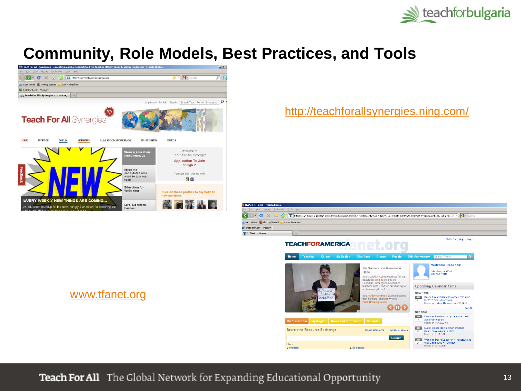

### **Community, Role Models, Best Practices, and Tools**



<http://teachforallsynergies.ning.com/>



[www.tfanet.org](http://www.tfanet.org/)